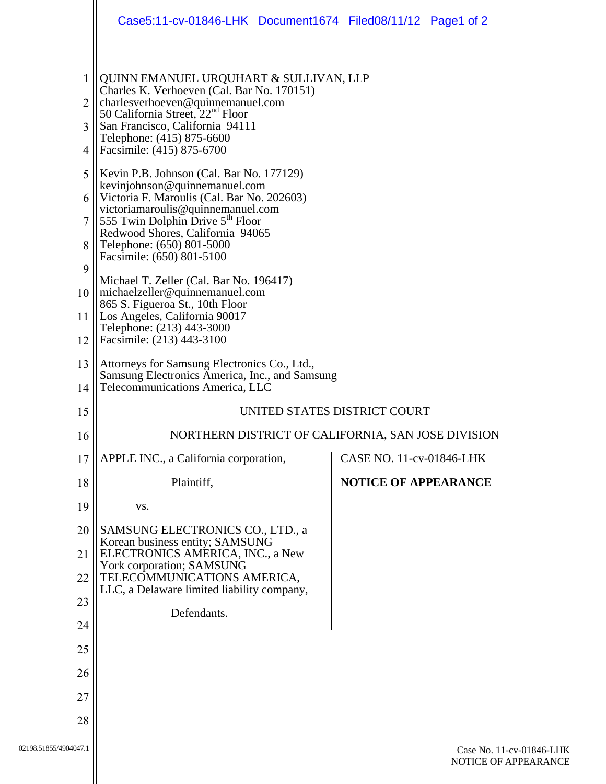|                                                                                                    | Case5:11-cv-01846-LHK Document1674 Filed08/11/12 Page1 of 2                                                                                                                                                                                                                                                                                                                                                                                                                                                                                                                                                                                                                                                                                                                           |  |                             |  |                      |
|----------------------------------------------------------------------------------------------------|---------------------------------------------------------------------------------------------------------------------------------------------------------------------------------------------------------------------------------------------------------------------------------------------------------------------------------------------------------------------------------------------------------------------------------------------------------------------------------------------------------------------------------------------------------------------------------------------------------------------------------------------------------------------------------------------------------------------------------------------------------------------------------------|--|-----------------------------|--|----------------------|
| 1<br>2<br>3<br>4<br>5 <sup>5</sup><br>6<br>$\overline{7}$<br>8<br>9<br>10 <sup>1</sup><br>11<br>12 | QUINN EMANUEL URQUHART & SULLIVAN, LLP<br>Charles K. Verhoeven (Cal. Bar No. 170151)<br>charlesverhoeven@quinnemanuel.com<br>50 California Street, 22 <sup>nd</sup> Floor<br>San Francisco, California 94111<br>Telephone: (415) 875-6600<br>Facsimile: (415) 875-6700<br>Kevin P.B. Johnson (Cal. Bar No. 177129)<br>kevinjohnson@quinnemanuel.com<br>Victoria F. Maroulis (Cal. Bar No. 202603)<br>victoriamaroulis@quinnemanuel.com<br>555 Twin Dolphin Drive $5th$ Floor<br>Redwood Shores, California 94065<br>Telephone: (650) 801-5000<br>Facsimile: (650) 801-5100<br>Michael T. Zeller (Cal. Bar No. 196417)<br>michaelzeller@quinnemanuel.com<br>865 S. Figueroa St., 10th Floor<br>Los Angeles, California 90017<br>Telephone: (213) 443-3000<br>Facsimile: (213) 443-3100 |  |                             |  |                      |
| 13<br>14                                                                                           | Attorneys for Samsung Electronics Co., Ltd.,<br>Samsung Electronics America, Inc., and Samsung<br>Telecommunications America, LLC                                                                                                                                                                                                                                                                                                                                                                                                                                                                                                                                                                                                                                                     |  |                             |  |                      |
| 15                                                                                                 | UNITED STATES DISTRICT COURT                                                                                                                                                                                                                                                                                                                                                                                                                                                                                                                                                                                                                                                                                                                                                          |  |                             |  |                      |
| 16                                                                                                 | NORTHERN DISTRICT OF CALIFORNIA, SAN JOSE DIVISION                                                                                                                                                                                                                                                                                                                                                                                                                                                                                                                                                                                                                                                                                                                                    |  |                             |  |                      |
| 17                                                                                                 | APPLE INC., a California corporation,                                                                                                                                                                                                                                                                                                                                                                                                                                                                                                                                                                                                                                                                                                                                                 |  | CASE NO. 11-cv-01846-LHK    |  |                      |
| 18                                                                                                 | Plaintiff,                                                                                                                                                                                                                                                                                                                                                                                                                                                                                                                                                                                                                                                                                                                                                                            |  | <b>NOTICE OF APPEARANCE</b> |  |                      |
| 19                                                                                                 | VS.                                                                                                                                                                                                                                                                                                                                                                                                                                                                                                                                                                                                                                                                                                                                                                                   |  |                             |  |                      |
| 20                                                                                                 | SAMSUNG ELECTRONICS CO., LTD., a<br>Korean business entity; SAMSUNG                                                                                                                                                                                                                                                                                                                                                                                                                                                                                                                                                                                                                                                                                                                   |  |                             |  |                      |
| 21                                                                                                 | ELECTRONICS AMERICA, INC., a New<br>York corporation; SAMSUNG                                                                                                                                                                                                                                                                                                                                                                                                                                                                                                                                                                                                                                                                                                                         |  |                             |  |                      |
| 22                                                                                                 | TELECOMMUNICATIONS AMERICA,<br>LLC, a Delaware limited liability company,                                                                                                                                                                                                                                                                                                                                                                                                                                                                                                                                                                                                                                                                                                             |  |                             |  |                      |
| 23                                                                                                 | Defendants.                                                                                                                                                                                                                                                                                                                                                                                                                                                                                                                                                                                                                                                                                                                                                                           |  |                             |  |                      |
| 24                                                                                                 |                                                                                                                                                                                                                                                                                                                                                                                                                                                                                                                                                                                                                                                                                                                                                                                       |  |                             |  |                      |
| 25                                                                                                 |                                                                                                                                                                                                                                                                                                                                                                                                                                                                                                                                                                                                                                                                                                                                                                                       |  |                             |  |                      |
| 26                                                                                                 |                                                                                                                                                                                                                                                                                                                                                                                                                                                                                                                                                                                                                                                                                                                                                                                       |  |                             |  |                      |
| 27                                                                                                 |                                                                                                                                                                                                                                                                                                                                                                                                                                                                                                                                                                                                                                                                                                                                                                                       |  |                             |  |                      |
| 28                                                                                                 |                                                                                                                                                                                                                                                                                                                                                                                                                                                                                                                                                                                                                                                                                                                                                                                       |  |                             |  |                      |
| 02198.51855/4904047.1                                                                              | Case No. 11-cv-01846-LHK                                                                                                                                                                                                                                                                                                                                                                                                                                                                                                                                                                                                                                                                                                                                                              |  |                             |  |                      |
|                                                                                                    |                                                                                                                                                                                                                                                                                                                                                                                                                                                                                                                                                                                                                                                                                                                                                                                       |  |                             |  | NOTICE OF APPEARANCE |
|                                                                                                    |                                                                                                                                                                                                                                                                                                                                                                                                                                                                                                                                                                                                                                                                                                                                                                                       |  |                             |  |                      |